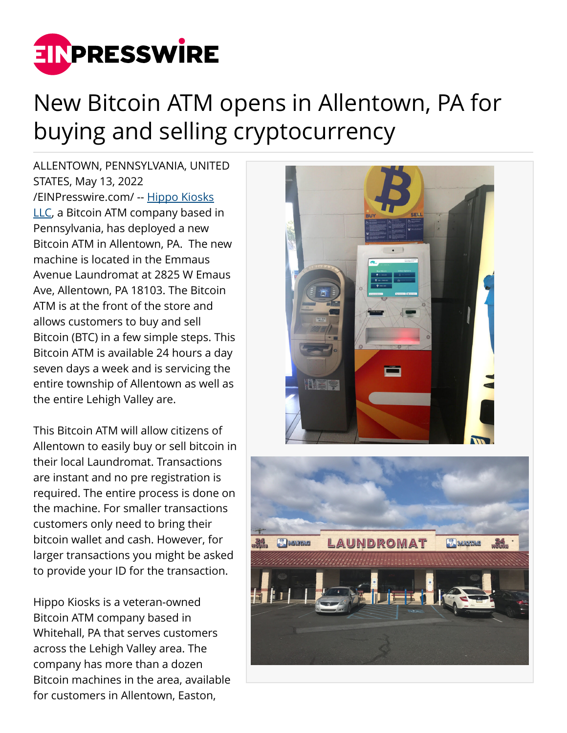

## New Bitcoin ATM opens in Allentown, PA for buying and selling cryptocurrency

ALLENTOWN, PENNSYLVANIA, UNITED STATES, May 13, 2022 [/EINPresswire.com/](http://www.einpresswire.com) -- [Hippo Kiosks](https://hippoatm.com/) [LLC,](https://hippoatm.com/) a Bitcoin ATM company based in Pennsylvania, has deployed a new Bitcoin ATM in Allentown, PA. The new machine is located in the Emmaus Avenue Laundromat at 2825 W Emaus Ave, Allentown, PA 18103. The Bitcoin ATM is at the front of the store and allows customers to buy and sell Bitcoin (BTC) in a few simple steps. This Bitcoin ATM is available 24 hours a day seven days a week and is servicing the entire township of Allentown as well as the entire Lehigh Valley are.

This Bitcoin ATM will allow citizens of Allentown to easily buy or sell bitcoin in their local Laundromat. Transactions are instant and no pre registration is required. The entire process is done on the machine. For smaller transactions customers only need to bring their bitcoin wallet and cash. However, for larger transactions you might be asked to provide your ID for the transaction.

Hippo Kiosks is a veteran-owned Bitcoin ATM company based in Whitehall, PA that serves customers across the Lehigh Valley area. The company has more than a dozen Bitcoin machines in the area, available for customers in Allentown, Easton,